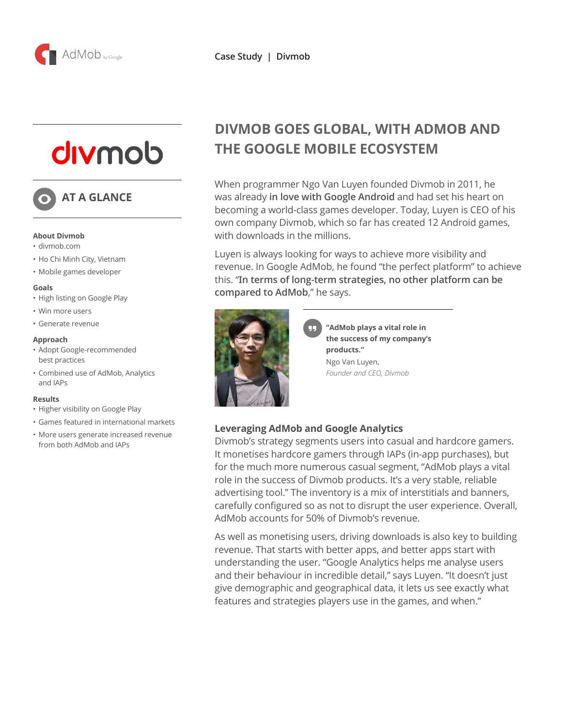

# divmob

# **AT A GLANCE**

#### **About Divmob**

- divmob.com
- Ho Chi Minh City, Vietnam
- Mobile games developer

#### **Goals**

- High listing on Google Play
- Win more users
- Generate revenue

#### **Approach**

- Adopt Google-recommended best practices
- Combined use of AdMob, Analytics and IAPs

#### **Results**

- Higher visibility on Google Play
- Games featured in international markets
- More users generate increased revenue from both AdMob and IAPs

# **DIVMOB GOES GLOBAL, WITH ADMOB AND THE GOOGLE MOBILE ECOSYSTEM**

When programmer Ngo Van Luyen founded Divmob in 2011, he was already **in love with Google Android** and had set his heart on becoming a world-class games developer. Today, Luyen is CEO of his own company Divmob, which so far has created 12 Android games, with downloads in the millions.

Luyen is always looking for ways to achieve more visibility and revenue. In Google AdMob, he found "the perfect platform" to achieve this. "**In terms of long-term strategies, no other platform can be compared to AdMob**," he says.



**"AdMob plays a vital role in the success of my company's products."** Ngo Van Luyen, *Founder and CEO, Divmob*

## **Leveraging AdMob and Google Analytics**

Divmob's strategy segments users into casual and hardcore gamers. It monetises hardcore gamers through IAPs (in-app purchases), but for the much more numerous casual segment, "AdMob plays a vital role in the success of Divmob products. It's a very stable, reliable advertising tool." The inventory is a mix of interstitials and banners, carefully configured so as not to disrupt the user experience. Overall, AdMob accounts for 50% of Divmob's revenue.

As well as monetising users, driving downloads is also key to building revenue. That starts with better apps, and better apps start with understanding the user. "Google Analytics helps me analyse users and their behaviour in incredible detail," says Luyen. "It doesn't just give demographic and geographical data, it lets us see exactly what features and strategies players use in the games, and when."